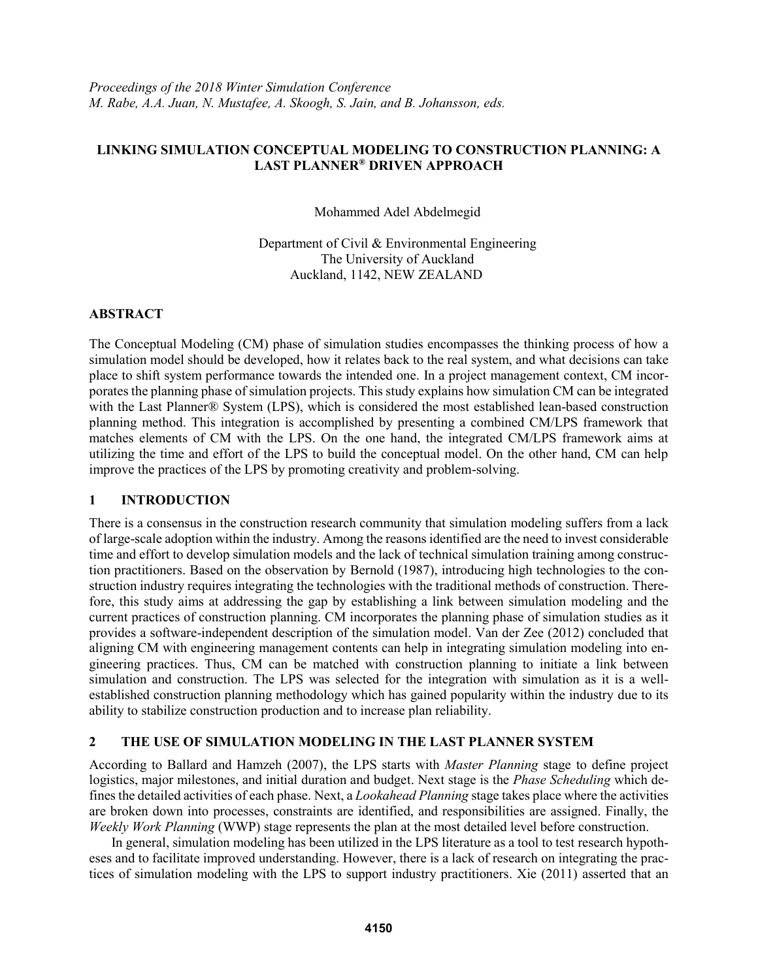## **LINKING SIMULATION CONCEPTUAL MODELING TO CONSTRUCTION PLANNING: A LAST PLANNER® DRIVEN APPROACH**

Mohammed Adel Abdelmegid

Department of Civil & Environmental Engineering The University of Auckland Auckland, 1142, NEW ZEALAND

### **ABSTRACT**

The Conceptual Modeling (CM) phase of simulation studies encompasses the thinking process of how a simulation model should be developed, how it relates back to the real system, and what decisions can take place to shift system performance towards the intended one. In a project management context, CM incorporates the planning phase of simulation projects. This study explains how simulation CM can be integrated with the Last Planner® System (LPS), which is considered the most established lean-based construction planning method. This integration is accomplished by presenting a combined CM/LPS framework that matches elements of CM with the LPS. On the one hand, the integrated CM/LPS framework aims at utilizing the time and effort of the LPS to build the conceptual model. On the other hand, CM can help improve the practices of the LPS by promoting creativity and problem-solving.

# **1 INTRODUCTION**

There is a consensus in the construction research community that simulation modeling suffers from a lack of large-scale adoption within the industry. Among the reasons identified are the need to invest considerable time and effort to develop simulation models and the lack of technical simulation training among construction practitioners. Based on the observation by Bernold (1987), introducing high technologies to the construction industry requires integrating the technologies with the traditional methods of construction. Therefore, this study aims at addressing the gap by establishing a link between simulation modeling and the current practices of construction planning. CM incorporates the planning phase of simulation studies as it provides a software-independent description of the simulation model. Van der Zee (2012) concluded that aligning CM with engineering management contents can help in integrating simulation modeling into engineering practices. Thus, CM can be matched with construction planning to initiate a link between simulation and construction. The LPS was selected for the integration with simulation as it is a wellestablished construction planning methodology which has gained popularity within the industry due to its ability to stabilize construction production and to increase plan reliability.

# **2 THE USE OF SIMULATION MODELING IN THE LAST PLANNER SYSTEM**

According to Ballard and Hamzeh (2007), the LPS starts with *Master Planning* stage to define project logistics, major milestones, and initial duration and budget. Next stage is the *Phase Scheduling* which defines the detailed activities of each phase. Next, a *Lookahead Planning* stage takes place where the activities are broken down into processes, constraints are identified, and responsibilities are assigned. Finally, the *Weekly Work Planning* (WWP) stage represents the plan at the most detailed level before construction.

In general, simulation modeling has been utilized in the LPS literature as a tool to test research hypotheses and to facilitate improved understanding. However, there is a lack of research on integrating the practices of simulation modeling with the LPS to support industry practitioners. Xie (2011) asserted that an